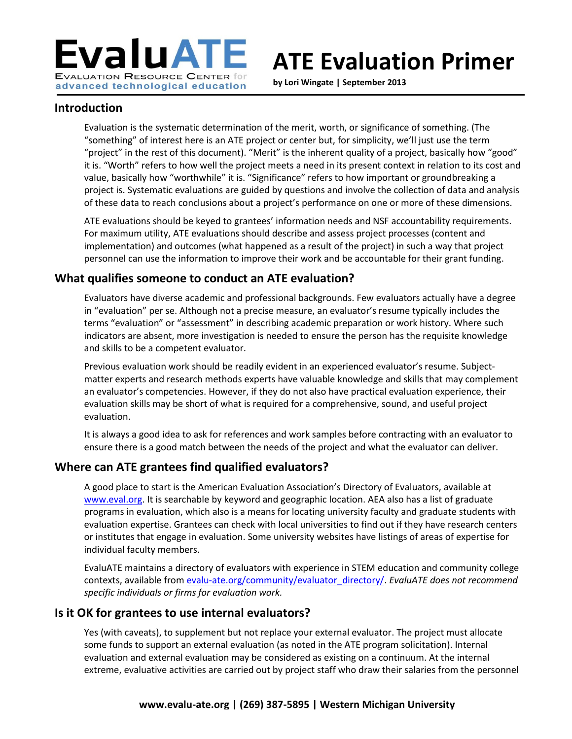

# **ATE Evaluation Primer**

**by Lori Wingate | September 2013**

#### **Introduction**

Evaluation is the systematic determination of the merit, worth, or significance of something. (The "something" of interest here is an ATE project or center but, for simplicity, we'll just use the term "project" in the rest of this document). "Merit" is the inherent quality of a project, basically how "good" it is. "Worth" refers to how well the project meets a need in its present context in relation to its cost and value, basically how "worthwhile" it is. "Significance" refers to how important or groundbreaking a project is. Systematic evaluations are guided by questions and involve the collection of data and analysis of these data to reach conclusions about a project's performance on one or more of these dimensions.

ATE evaluations should be keyed to grantees' information needs and NSF accountability requirements. For maximum utility, ATE evaluations should describe and assess project processes (content and implementation) and outcomes (what happened as a result of the project) in such a way that project personnel can use the information to improve their work and be accountable for their grant funding.

#### **What qualifies someone to conduct an ATE evaluation?**

Evaluators have diverse academic and professional backgrounds. Few evaluators actually have a degree in "evaluation" per se. Although not a precise measure, an evaluator's resume typically includes the terms "evaluation" or "assessment" in describing academic preparation or work history. Where such indicators are absent, more investigation is needed to ensure the person has the requisite knowledge and skills to be a competent evaluator.

Previous evaluation work should be readily evident in an experienced evaluator's resume. Subjectmatter experts and research methods experts have valuable knowledge and skills that may complement an evaluator's competencies. However, if they do not also have practical evaluation experience, their evaluation skills may be short of what is required for a comprehensive, sound, and useful project evaluation.

It is always a good idea to ask for references and work samples before contracting with an evaluator to ensure there is a good match between the needs of the project and what the evaluator can deliver.

## **Where can ATE grantees find qualified evaluators?**

A good place to start is the American Evaluation Association's Directory of Evaluators, available at [www.eval.org.](http://www.eval.org/) It is searchable by keyword and geographic location. AEA also has a list of graduate programs in evaluation, which also is a means for locating university faculty and graduate students with evaluation expertise. Grantees can check with local universities to find out if they have research centers or institutes that engage in evaluation. Some university websites have listings of areas of expertise for individual faculty members.

EvaluATE maintains a directory of evaluators with experience in STEM education and community college contexts, available from [evalu-ate.org/community/evaluator\\_directory/.](http://evalu-ate.org/community/evaluator_directory/) *EvaluATE does not recommend specific individuals or firms for evaluation work.*

#### **Is it OK for grantees to use internal evaluators?**

Yes (with caveats), to supplement but not replace your external evaluator. The project must allocate some funds to support an external evaluation (as noted in the ATE program solicitation). Internal evaluation and external evaluation may be considered as existing on a continuum. At the internal extreme, evaluative activities are carried out by project staff who draw their salaries from the personnel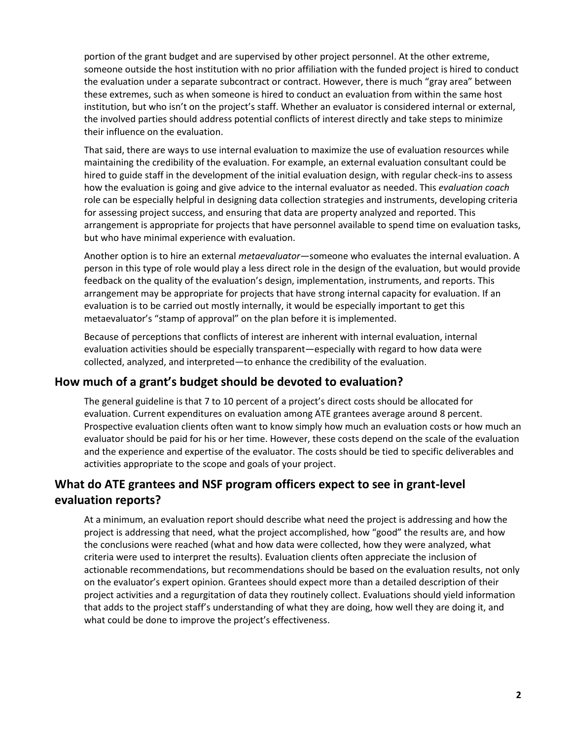portion of the grant budget and are supervised by other project personnel. At the other extreme, someone outside the host institution with no prior affiliation with the funded project is hired to conduct the evaluation under a separate subcontract or contract. However, there is much "gray area" between these extremes, such as when someone is hired to conduct an evaluation from within the same host institution, but who isn't on the project's staff. Whether an evaluator is considered internal or external, the involved parties should address potential conflicts of interest directly and take steps to minimize their influence on the evaluation.

That said, there are ways to use internal evaluation to maximize the use of evaluation resources while maintaining the credibility of the evaluation. For example, an external evaluation consultant could be hired to guide staff in the development of the initial evaluation design, with regular check-ins to assess how the evaluation is going and give advice to the internal evaluator as needed. This *evaluation coach* role can be especially helpful in designing data collection strategies and instruments, developing criteria for assessing project success, and ensuring that data are property analyzed and reported. This arrangement is appropriate for projects that have personnel available to spend time on evaluation tasks, but who have minimal experience with evaluation.

Another option is to hire an external *metaevaluator*—someone who evaluates the internal evaluation. A person in this type of role would play a less direct role in the design of the evaluation, but would provide feedback on the quality of the evaluation's design, implementation, instruments, and reports. This arrangement may be appropriate for projects that have strong internal capacity for evaluation. If an evaluation is to be carried out mostly internally, it would be especially important to get this metaevaluator's "stamp of approval" on the plan before it is implemented.

Because of perceptions that conflicts of interest are inherent with internal evaluation, internal evaluation activities should be especially transparent—especially with regard to how data were collected, analyzed, and interpreted—to enhance the credibility of the evaluation.

#### **How much of a grant's budget should be devoted to evaluation?**

The general guideline is that 7 to 10 percent of a project's direct costs should be allocated for evaluation. Current expenditures on evaluation among ATE grantees average around 8 percent. Prospective evaluation clients often want to know simply how much an evaluation costs or how much an evaluator should be paid for his or her time. However, these costs depend on the scale of the evaluation and the experience and expertise of the evaluator. The costs should be tied to specific deliverables and activities appropriate to the scope and goals of your project.

## **What do ATE grantees and NSF program officers expect to see in grant-level evaluation reports?**

At a minimum, an evaluation report should describe what need the project is addressing and how the project is addressing that need, what the project accomplished, how "good" the results are, and how the conclusions were reached (what and how data were collected, how they were analyzed, what criteria were used to interpret the results). Evaluation clients often appreciate the inclusion of actionable recommendations, but recommendations should be based on the evaluation results, not only on the evaluator's expert opinion. Grantees should expect more than a detailed description of their project activities and a regurgitation of data they routinely collect. Evaluations should yield information that adds to the project staff's understanding of what they are doing, how well they are doing it, and what could be done to improve the project's effectiveness.